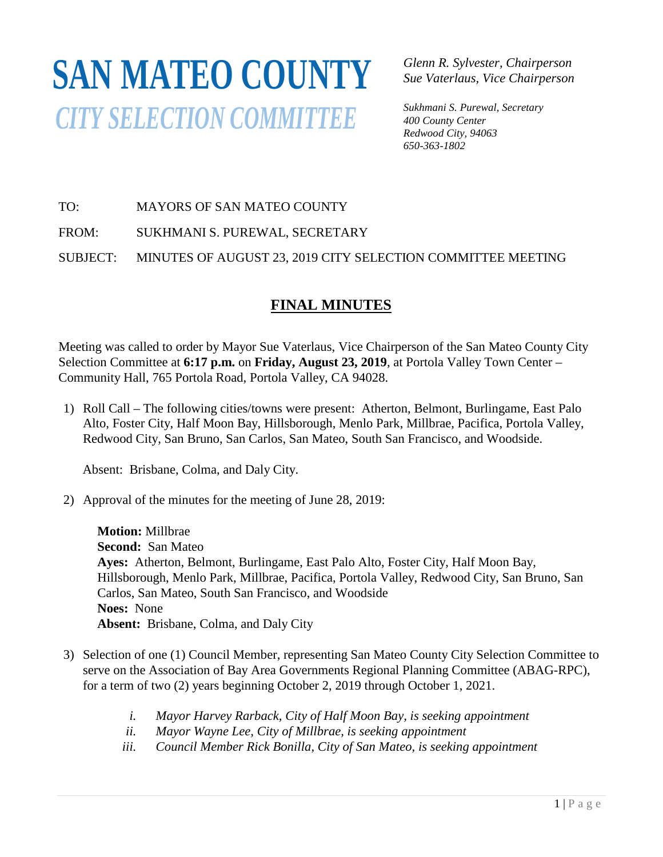## **SAN MATEO COUNTY***CITY SELECTION COMMITTEE*

*Glenn R. Sylvester, Chairperson Sue Vaterlaus, Vice Chairperson*

*Sukhmani S. Purewal, Secretary 400 County Center Redwood City, 94063 650-363-1802*

## TO: MAYORS OF SAN MATEO COUNTY

FROM: SUKHMANI S. PUREWAL, SECRETARY

SUBJECT: MINUTES OF AUGUST 23, 2019 CITY SELECTION COMMITTEE MEETING

## **FINAL MINUTES**

Meeting was called to order by Mayor Sue Vaterlaus, Vice Chairperson of the San Mateo County City Selection Committee at **6:17 p.m.** on **Friday, August 23, 2019**, at Portola Valley Town Center – Community Hall, 765 Portola Road, Portola Valley, CA 94028.

1) Roll Call – The following cities/towns were present: Atherton, Belmont, Burlingame, East Palo Alto, Foster City, Half Moon Bay, Hillsborough, Menlo Park, Millbrae, Pacifica, Portola Valley, Redwood City, San Bruno, San Carlos, San Mateo, South San Francisco, and Woodside.

Absent: Brisbane, Colma, and Daly City.

2) Approval of the minutes for the meeting of June 28, 2019:

**Motion:** Millbrae **Second:** San Mateo **Ayes:** Atherton, Belmont, Burlingame, East Palo Alto, Foster City, Half Moon Bay, Hillsborough, Menlo Park, Millbrae, Pacifica, Portola Valley, Redwood City, San Bruno, San Carlos, San Mateo, South San Francisco, and Woodside **Noes:** None **Absent:** Brisbane, Colma, and Daly City

- 3) Selection of one (1) Council Member, representing San Mateo County City Selection Committee to serve on the Association of Bay Area Governments Regional Planning Committee (ABAG-RPC), for a term of two (2) years beginning October 2, 2019 through October 1, 2021.
	- *i. Mayor Harvey Rarback, City of Half Moon Bay, is seeking appointment*
	- *ii. Mayor Wayne Lee, City of Millbrae, is seeking appointment*
	- *iii. Council Member Rick Bonilla, City of San Mateo, is seeking appointment*